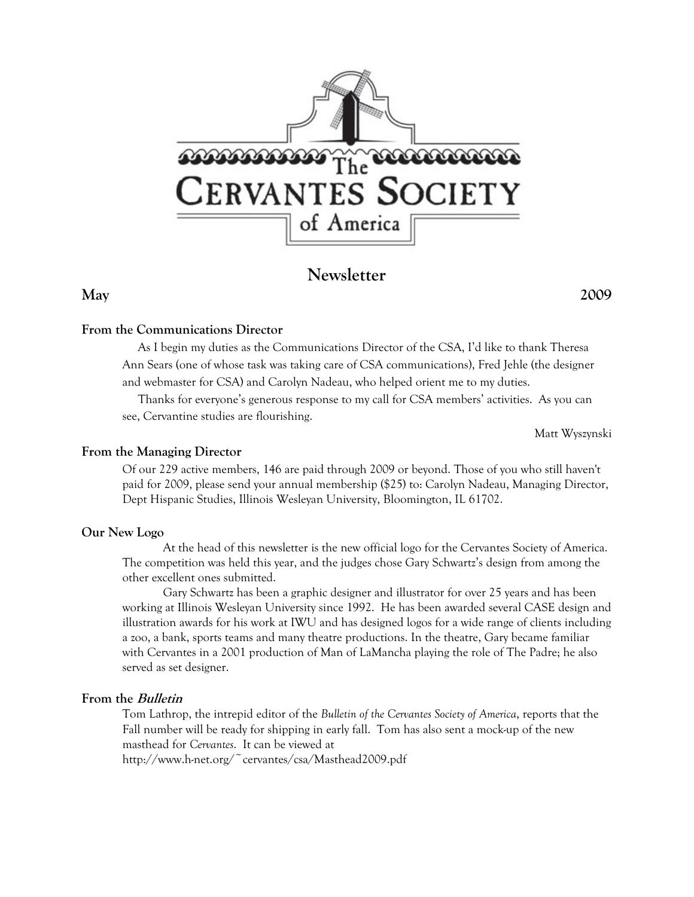

# **Newsletter**

**May 2009** 

#### **From the Communications Director**

 As I begin my duties as the Communications Director of the CSA, I'd like to thank Theresa Ann Sears (one of whose task was taking care of CSA communications), Fred Jehle (the designer and webmaster for CSA) and Carolyn Nadeau, who helped orient me to my duties.

 Thanks for everyone's generous response to my call for CSA members' activities. As you can see, Cervantine studies are flourishing.

Matt Wyszynski

#### **From the Managing Director**

Of our 229 active members, 146 are paid through 2009 or beyond. Those of you who still haven't paid for 2009, please send your annual membership (\$25) to: Carolyn Nadeau, Managing Director, Dept Hispanic Studies, Illinois Wesleyan University, Bloomington, IL 61702.

#### **Our New Logo**

At the head of this newsletter is the new official logo for the Cervantes Society of America. The competition was held this year, and the judges chose Gary Schwartz's design from among the other excellent ones submitted.

Gary Schwartz has been a graphic designer and illustrator for over 25 years and has been working at Illinois Wesleyan University since 1992. He has been awarded several CASE design and illustration awards for his work at IWU and has designed logos for a wide range of clients including a zoo, a bank, sports teams and many theatre productions. In the theatre, Gary became familiar with Cervantes in a 2001 production of Man of LaMancha playing the role of The Padre; he also served as set designer.

### **From the Bulletin**

Tom Lathrop, the intrepid editor of the *Bulletin of the Cervantes Society of America*, reports that the Fall number will be ready for shipping in early fall. Tom has also sent a mock-up of the new masthead for *Cervantes*. It can be viewed at http://www.h-net.org/~cervantes/csa/Masthead2009.pdf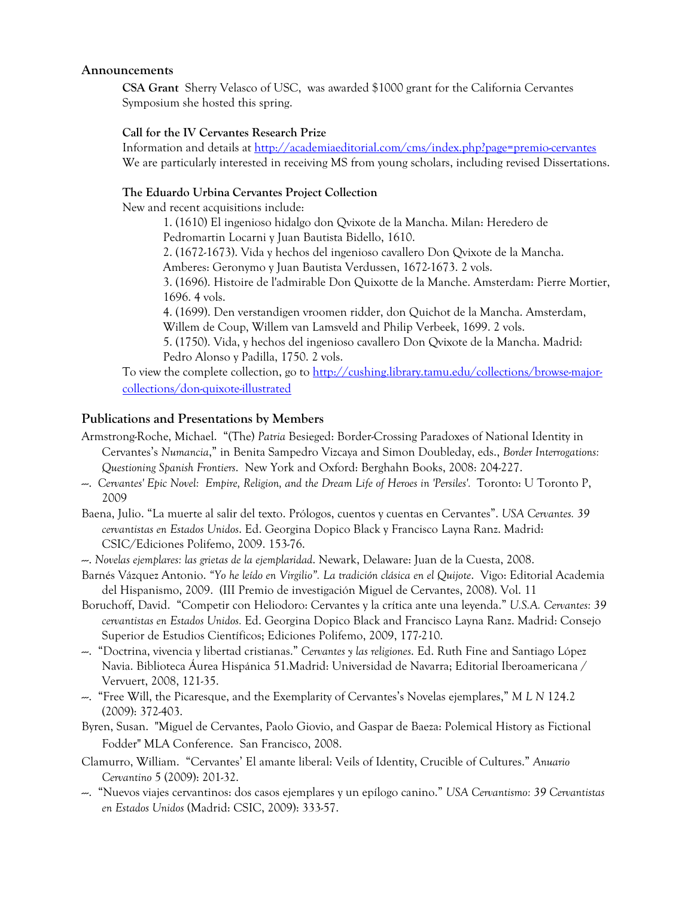#### **Announcements**

**CSA Grant** Sherry Velasco of USC, was awarded \$1000 grant for the California Cervantes Symposium she hosted this spring.

#### **Call for the IV Cervantes Research Prize**

Information and details at http://academiaeditorial.com/cms/index.php?page=premio-cervantes We are particularly interested in receiving MS from young scholars, including revised Dissertations.

#### **The Eduardo Urbina Cervantes Project Collection**

New and recent acquisitions include:

1. (1610) El ingenioso hidalgo don Qvixote de la Mancha. Milan: Heredero de Pedromartin Locarni y Juan Bautista Bidello, 1610.

2. (1672-1673). Vida y hechos del ingenioso cavallero Don Qvixote de la Mancha.

Amberes: Geronymo y Juan Bautista Verdussen, 1672-1673. 2 vols.

3. (1696). Histoire de l'admirable Don Quixotte de la Manche. Amsterdam: Pierre Mortier, 1696. 4 vols.

4. (1699). Den verstandigen vroomen ridder, don Quichot de la Mancha. Amsterdam, Willem de Coup, Willem van Lamsveld and Philip Verbeek, 1699. 2 vols.

5. (1750). Vida, y hechos del ingenioso cavallero Don Qvixote de la Mancha. Madrid: Pedro Alonso y Padilla, 1750. 2 vols.

To view the complete collection, go to http://cushing.library.tamu.edu/collections/browse-majorcollections/don-quixote-illustrated

#### **Publications and Presentations by Members**

- Armstrong-Roche, Michael. "(The) *Patria* Besieged: Border-Crossing Paradoxes of National Identity in Cervantes's *Numancia*," in Benita Sampedro Vizcaya and Simon Doubleday, eds., *Border Interrogations: Questioning Spanish Frontiers*. New York and Oxford: Berghahn Books, 2008: 204-227.
- ---. *Cervantes' Epic Novel: Empire, Religion, and the Dream Life of Heroes in 'Persiles'.* Toronto: U Toronto P, 2009
- Baena, Julio. "La muerte al salir del texto. Prólogos, cuentos y cuentas en Cervantes". *USA Cervantes. 39 cervantistas en Estados Unidos*. Ed. Georgina Dopico Black y Francisco Layna Ranz. Madrid: CSIC/Ediciones Polifemo, 2009. 153-76.
- ---. *Novelas ejemplares: las grietas de la ejemplaridad*. Newark, Delaware: Juan de la Cuesta, 2008.
- Barnés Vázquez Antonio. *"Yo he leído en Virgilio". La tradición clásica en el Quijote*. Vigo: Editorial Academia del Hispanismo, 2009. (III Premio de investigación Miguel de Cervantes, 2008). Vol. 11
- Boruchoff, David. "Competir con Heliodoro: Cervantes y la crítica ante una leyenda." *U.S.A. Cervantes: 39 cervantistas en Estados Unidos.* Ed. Georgina Dopico Black and Francisco Layna Ranz. Madrid: Consejo Superior de Estudios Científicos; Ediciones Polifemo, 2009, 177-210.
- ---. "Doctrina, vivencia y libertad cristianas." *Cervantes y las religiones*. Ed. Ruth Fine and Santiago López Navia. Biblioteca Áurea Hispánica 51.Madrid: Universidad de Navarra; Editorial Iberoamericana / Vervuert, 2008, 121-35.
- ---. "Free Will, the Picaresque, and the Exemplarity of Cervantes's Novelas ejemplares," *M L N* 124.2 (2009): 372-403.
- Byren, Susan. "Miguel de Cervantes, Paolo Giovio, and Gaspar de Baeza: Polemical History as Fictional Fodder" MLA Conference. San Francisco, 2008.
- Clamurro, William. "Cervantes' El amante liberal: Veils of Identity, Crucible of Cultures." *Anuario Cervantino* 5 (2009): 201-32.
- ---. "Nuevos viajes cervantinos: dos casos ejemplares y un epílogo canino." *USA Cervantismo: 39 Cervantistas en Estados Unidos* (Madrid: CSIC, 2009): 333-57.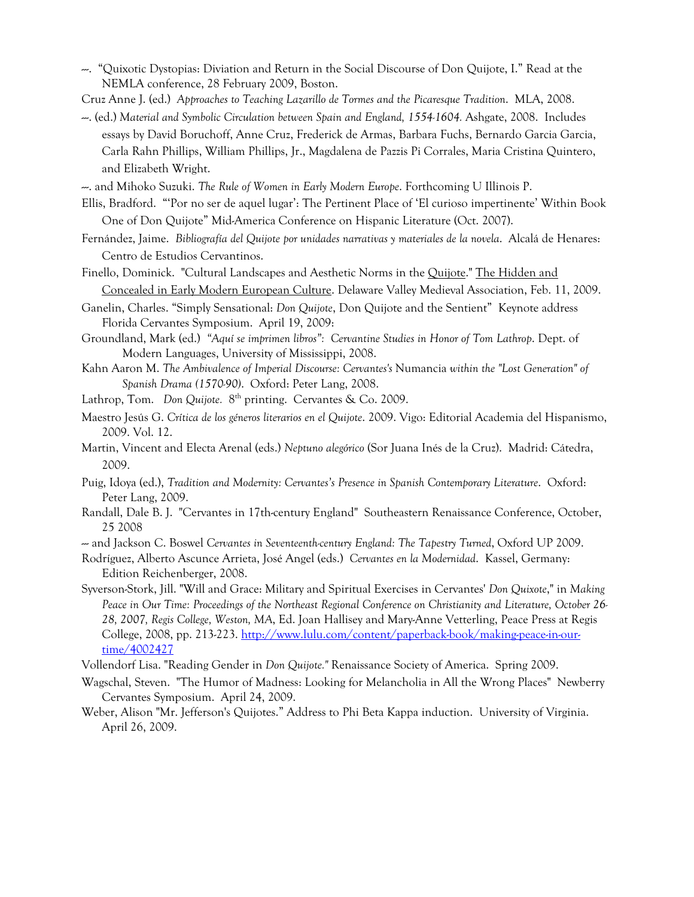- ---. "Quixotic Dystopias: Diviation and Return in the Social Discourse of Don Quijote, I." Read at the NEMLA conference, 28 February 2009, Boston.
- Cruz Anne J. (ed.) *Approaches to Teaching Lazarillo de Tormes and the Picaresque Tradition*. MLA, 2008.
- ---. (ed.) *Material and Symbolic Circulation between Spain and England, 1554-1604.* Ashgate, 2008. Includes essays by David Boruchoff, Anne Cruz, Frederick de Armas, Barbara Fuchs, Bernardo Garcia Garcia, Carla Rahn Phillips, William Phillips, Jr., Magdalena de Pazzis Pi Corrales, Maria Cristina Quintero, and Elizabeth Wright.
- ---. and Mihoko Suzuki. *The Rule of Women in Early Modern Europe*. Forthcoming U Illinois P.
- Ellis, Bradford. "'Por no ser de aquel lugar': The Pertinent Place of 'El curioso impertinente' Within Book One of Don Quijote" Mid-America Conference on Hispanic Literature (Oct. 2007).
- Fernández, Jaime. *Bibliografía del Quijote por unidades narrativas y materiales de la novela*. Alcalá de Henares: Centro de Estudios Cervantinos.
- Finello, Dominick. "Cultural Landscapes and Aesthetic Norms in the Quijote." The Hidden and Concealed in Early Modern European Culture. Delaware Valley Medieval Association, Feb. 11, 2009.
- Ganelin, Charles. "Simply Sensational: *Don Quijote*, Don Quijote and the Sentient" Keynote address Florida Cervantes Symposium. April 19, 2009:
- Groundland, Mark (ed.) *"Aquí se imprimen libros": Cervantine Studies in Honor of Tom Lathrop*. Dept. of Modern Languages, University of Mississippi, 2008.
- Kahn Aaron M. *The Ambivalence of Imperial Discourse: Cervantes's* Numancia *within the "Lost Generation" of Spanish Drama (1570-90)*. Oxford: Peter Lang, 2008.
- Lathrop, Tom. *Don Quijote*. 8<sup>th</sup> printing. Cervantes & Co. 2009.
- Maestro Jesús G. *Crítica de los géneros literarios en el Quijote*. 2009. Vigo: Editorial Academia del Hispanismo, 2009. Vol. 12.
- Martin, Vincent and Electa Arenal (eds.) *Neptuno alegórico* (Sor Juana Inés de la Cruz). Madrid: Cátedra, 2009.
- Puig, Idoya (ed.), *Tradition and Modernity: Cervantes's Presence in Spanish Contemporary Literature*. Oxford: Peter Lang, 2009.
- Randall, Dale B. J. "Cervantes in 17th-century England" Southeastern Renaissance Conference, October, 25 2008

--- and Jackson C. Boswel *Cervantes in Seventeenth-century England: The Tapestry Turned*, Oxford UP 2009.

- Rodríguez, Alberto Ascunce Arrieta, José Angel (eds.) *Cervantes en la Modernidad*. Kassel, Germany: Edition Reichenberger, 2008.
- Syverson-Stork, Jill. "Will and Grace: Military and Spiritual Exercises in Cervantes' *Don Quixote*," in *Making Peace in Our Time: Proceedings of the Northeast Regional Conference on Christianity and Literature, October 26- 28, 2007, Regis College, Weston, MA*, Ed. Joan Hallisey and Mary-Anne Vetterling, Peace Press at Regis College, 2008, pp. 213-223. http://www.lulu.com/content/paperback-book/making-peace-in-ourtime/4002427
- Vollendorf Lisa. "Reading Gender in *Don Quijote."* Renaissance Society of America. Spring 2009.
- Wagschal, Steven. "The Humor of Madness: Looking for Melancholia in All the Wrong Places" Newberry Cervantes Symposium. April 24, 2009.
- Weber, Alison "Mr. Jefferson's Quijotes." Address to Phi Beta Kappa induction. University of Virginia. April 26, 2009.